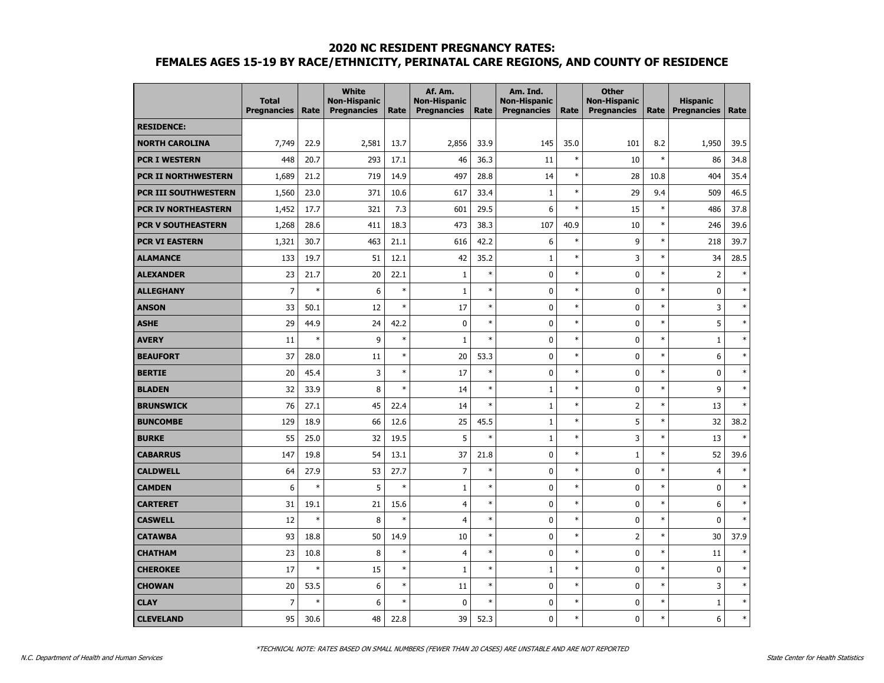|                            | <b>Total</b><br><b>Pregnancies</b> | Rate   | <b>White</b><br><b>Non-Hispanic</b><br><b>Pregnancies</b> | Rate   | Af. Am.<br><b>Non-Hispanic</b><br><b>Pregnancies</b> | Rate   | Am. Ind.<br><b>Non-Hispanic</b><br><b>Pregnancies</b> | Rate   | <b>Other</b><br><b>Non-Hispanic</b><br><b>Pregnancies</b> | Rate   | <b>Hispanic</b><br><b>Pregnancies</b> | Rate   |
|----------------------------|------------------------------------|--------|-----------------------------------------------------------|--------|------------------------------------------------------|--------|-------------------------------------------------------|--------|-----------------------------------------------------------|--------|---------------------------------------|--------|
| <b>RESIDENCE:</b>          |                                    |        |                                                           |        |                                                      |        |                                                       |        |                                                           |        |                                       |        |
| <b>NORTH CAROLINA</b>      | 7,749                              | 22.9   | 2,581                                                     | 13.7   | 2,856                                                | 33.9   | 145                                                   | 35.0   | 101                                                       | 8.2    | 1,950                                 | 39.5   |
| <b>PCR I WESTERN</b>       | 448                                | 20.7   | 293                                                       | 17.1   | 46                                                   | 36.3   | 11                                                    | $\ast$ | 10                                                        | $\ast$ | 86                                    | 34.8   |
| <b>PCR II NORTHWESTERN</b> | 1,689                              | 21.2   | 719                                                       | 14.9   | 497                                                  | 28.8   | 14                                                    | $\ast$ | 28                                                        | 10.8   | 404                                   | 35.4   |
| PCR III SOUTHWESTERN       | 1,560                              | 23.0   | 371                                                       | 10.6   | 617                                                  | 33.4   | $1\,$                                                 | $\ast$ | 29                                                        | 9.4    | 509                                   | 46.5   |
| <b>PCR IV NORTHEASTERN</b> | 1,452                              | 17.7   | 321                                                       | 7.3    | 601                                                  | 29.5   | 6                                                     | $\ast$ | 15                                                        | $\ast$ | 486                                   | 37.8   |
| <b>PCR V SOUTHEASTERN</b>  | 1,268                              | 28.6   | 411                                                       | 18.3   | 473                                                  | 38.3   | 107                                                   | 40.9   | 10                                                        | $\ast$ | 246                                   | 39.6   |
| <b>PCR VI EASTERN</b>      | 1,321                              | 30.7   | 463                                                       | 21.1   | 616                                                  | 42.2   | 6                                                     | $\ast$ | 9                                                         | $\ast$ | 218                                   | 39.7   |
| <b>ALAMANCE</b>            | 133                                | 19.7   | 51                                                        | 12.1   | 42                                                   | 35.2   | $\mathbf{1}$                                          | $\ast$ | 3                                                         | $\ast$ | 34                                    | 28.5   |
| <b>ALEXANDER</b>           | 23                                 | 21.7   | 20                                                        | 22.1   | $\mathbf{1}$                                         | $\ast$ | 0                                                     | $\ast$ | 0                                                         | $\ast$ | $\overline{2}$                        | $\ast$ |
| <b>ALLEGHANY</b>           | $\overline{7}$                     | $\ast$ | 6                                                         | $\ast$ | $\mathbf{1}$                                         | $\ast$ | $\mathbf 0$                                           | $\ast$ | 0                                                         | $\ast$ | $\mathbf 0$                           | $\ast$ |
| <b>ANSON</b>               | 33                                 | 50.1   | 12                                                        | $\ast$ | 17                                                   | $\ast$ | $\mathbf 0$                                           | $\ast$ | 0                                                         | $\ast$ | 3                                     | $\ast$ |
| <b>ASHE</b>                | 29                                 | 44.9   | 24                                                        | 42.2   | $\pmb{0}$                                            | $\ast$ | $\pmb{0}$                                             | $\ast$ | 0                                                         | $\ast$ | 5                                     | $\ast$ |
| <b>AVERY</b>               | 11                                 | $\ast$ | 9                                                         | $\ast$ | $\mathbf{1}$                                         | $\ast$ | 0                                                     | $\ast$ | 0                                                         | $\ast$ | 1                                     | $\ast$ |
| <b>BEAUFORT</b>            | 37                                 | 28.0   | 11                                                        | $\ast$ | 20                                                   | 53.3   | $\mathbf 0$                                           | $\ast$ | 0                                                         | $\ast$ | 6                                     | $\ast$ |
| <b>BERTIE</b>              | 20                                 | 45.4   | 3                                                         | $\ast$ | 17                                                   | $\ast$ | 0                                                     | $\ast$ | 0                                                         | $\ast$ | $\mathbf 0$                           | $\ast$ |
| <b>BLADEN</b>              | 32                                 | 33.9   | 8                                                         | $\ast$ | 14                                                   | $\ast$ | $1\,$                                                 | $\ast$ | 0                                                         | $\ast$ | 9                                     | $\ast$ |
| <b>BRUNSWICK</b>           | 76                                 | 27.1   | 45                                                        | 22.4   | 14                                                   | $\ast$ | $\mathbf{1}$                                          | $\ast$ | $\overline{2}$                                            | $\ast$ | 13                                    | $\ast$ |
| <b>BUNCOMBE</b>            | 129                                | 18.9   | 66                                                        | 12.6   | 25                                                   | 45.5   | $\mathbf{1}$                                          | $\ast$ | 5                                                         | $\ast$ | 32                                    | 38.2   |
| <b>BURKE</b>               | 55                                 | 25.0   | 32                                                        | 19.5   | 5                                                    | $\ast$ | $\mathbf{1}$                                          | $\ast$ | 3                                                         | $\ast$ | 13                                    | $\ast$ |
| <b>CABARRUS</b>            | 147                                | 19.8   | 54                                                        | 13.1   | 37                                                   | 21.8   | 0                                                     | $\ast$ | $\mathbf{1}$                                              | $\ast$ | 52                                    | 39.6   |
| <b>CALDWELL</b>            | 64                                 | 27.9   | 53                                                        | 27.7   | $\overline{7}$                                       | $\ast$ | 0                                                     | $\ast$ | 0                                                         | $\ast$ | $\overline{4}$                        | $\ast$ |
| <b>CAMDEN</b>              | 6                                  | $\ast$ | 5                                                         | $\ast$ | $\mathbf{1}$                                         | $\ast$ | 0                                                     | $\ast$ | 0                                                         | $\ast$ | 0                                     | $\ast$ |
| <b>CARTERET</b>            | 31                                 | 19.1   | 21                                                        | 15.6   | $\overline{4}$                                       | $\ast$ | 0                                                     | $\ast$ | 0                                                         | $\ast$ | 6                                     | $\ast$ |
| <b>CASWELL</b>             | 12                                 | $\ast$ | 8                                                         | $\ast$ | $\overline{4}$                                       | $\ast$ | 0                                                     | $\ast$ | 0                                                         | $\ast$ | 0                                     | $\ast$ |
| <b>CATAWBA</b>             | 93                                 | 18.8   | 50                                                        | 14.9   | 10                                                   | $\ast$ | 0                                                     | $\ast$ | $\overline{2}$                                            | $\ast$ | 30                                    | 37.9   |
| <b>CHATHAM</b>             | 23                                 | 10.8   | 8                                                         | $\ast$ | $\overline{4}$                                       | $\ast$ | $\pmb{0}$                                             | $\ast$ | 0                                                         | $\ast$ | 11                                    | $\ast$ |
| <b>CHEROKEE</b>            | 17                                 | $\ast$ | 15                                                        | $\ast$ | $\mathbf{1}$                                         | $\ast$ | $\mathbf{1}$                                          | $\ast$ | 0                                                         | $\ast$ | 0                                     | $\ast$ |
| <b>CHOWAN</b>              | 20                                 | 53.5   | 6                                                         | $\ast$ | 11                                                   | $\ast$ | 0                                                     | $\ast$ | 0                                                         | $\ast$ | 3                                     | $\ast$ |
| <b>CLAY</b>                | $\overline{7}$                     | $\ast$ | 6                                                         | $\ast$ | $\mathbf 0$                                          | $\ast$ | $\pmb{0}$                                             | $\ast$ | 0                                                         | $\ast$ | $1\,$                                 | $\ast$ |
| <b>CLEVELAND</b>           | 95                                 | 30.6   | 48                                                        | 22.8   | 39                                                   | 52.3   | $\mathbf 0$                                           | $\ast$ | 0                                                         | $\ast$ | 6                                     | $\ast$ |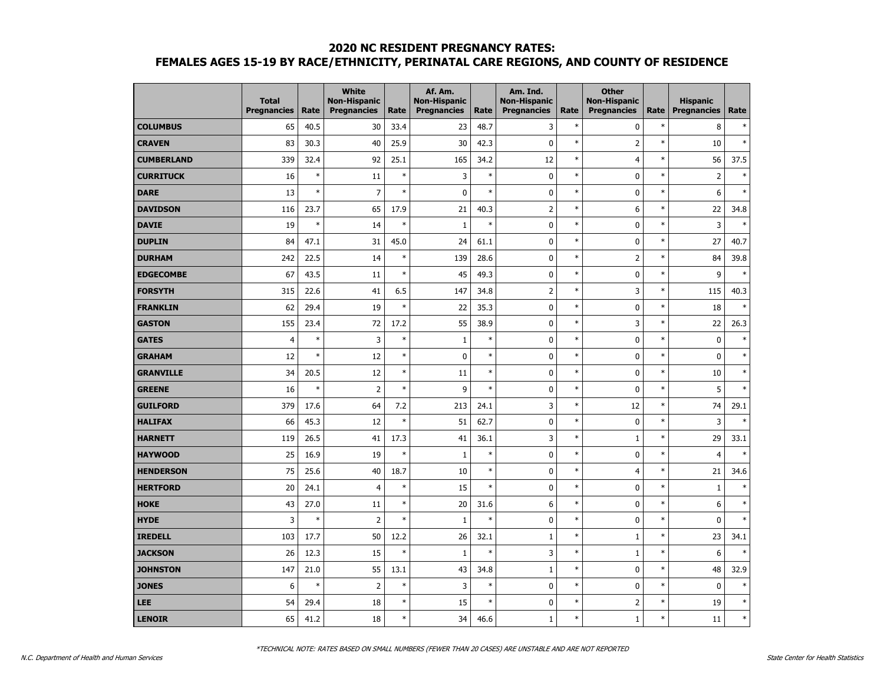|                   | <b>Total</b><br><b>Pregnancies</b> | Rate   | <b>White</b><br><b>Non-Hispanic</b><br><b>Pregnancies</b> | Rate   | Af. Am.<br><b>Non-Hispanic</b><br><b>Pregnancies</b> | Rate   | Am. Ind.<br><b>Non-Hispanic</b><br><b>Pregnancies</b> | Rate   | <b>Other</b><br><b>Non-Hispanic</b><br><b>Pregnancies</b> | Rate   | <b>Hispanic</b><br><b>Pregnancies</b> | Rate   |
|-------------------|------------------------------------|--------|-----------------------------------------------------------|--------|------------------------------------------------------|--------|-------------------------------------------------------|--------|-----------------------------------------------------------|--------|---------------------------------------|--------|
| <b>COLUMBUS</b>   | 65                                 | 40.5   | 30                                                        | 33.4   | 23                                                   | 48.7   | 3                                                     | $\ast$ | 0                                                         | $\ast$ | 8                                     | $\ast$ |
| <b>CRAVEN</b>     | 83                                 | 30.3   | 40                                                        | 25.9   | 30                                                   | 42.3   | 0                                                     | $\ast$ | $\overline{2}$                                            | $\ast$ | 10                                    | $\ast$ |
| <b>CUMBERLAND</b> | 339                                | 32.4   | 92                                                        | 25.1   | 165                                                  | 34.2   | 12                                                    | $\ast$ | $\overline{4}$                                            | $\ast$ | 56                                    | 37.5   |
| <b>CURRITUCK</b>  | 16                                 | $\ast$ | 11                                                        | $\ast$ | 3                                                    | $\ast$ | 0                                                     | $\ast$ | 0                                                         | $\ast$ | $\overline{2}$                        | $\ast$ |
| <b>DARE</b>       | 13                                 | $\ast$ | $\overline{7}$                                            | $\ast$ | $\mathbf 0$                                          | $\ast$ | 0                                                     | $\ast$ | 0                                                         | $\ast$ | 6                                     | $\ast$ |
| <b>DAVIDSON</b>   | 116                                | 23.7   | 65                                                        | 17.9   | 21                                                   | 40.3   | $\overline{2}$                                        | $\ast$ | 6                                                         | $\ast$ | 22                                    | 34.8   |
| <b>DAVIE</b>      | 19                                 | $\ast$ | 14                                                        | $\ast$ | $\mathbf{1}$                                         | $\ast$ | $\pmb{0}$                                             | $\ast$ | 0                                                         | $\ast$ | 3                                     | $\ast$ |
| <b>DUPLIN</b>     | 84                                 | 47.1   | 31                                                        | 45.0   | 24                                                   | 61.1   | 0                                                     | $\ast$ | 0                                                         | $\ast$ | 27                                    | 40.7   |
| <b>DURHAM</b>     | 242                                | 22.5   | 14                                                        | $\ast$ | 139                                                  | 28.6   | 0                                                     | $\ast$ | 2                                                         | $\ast$ | 84                                    | 39.8   |
| <b>EDGECOMBE</b>  | 67                                 | 43.5   | 11                                                        | $\ast$ | 45                                                   | 49.3   | 0                                                     | $\ast$ | 0                                                         | $\ast$ | 9                                     | $\ast$ |
| <b>FORSYTH</b>    | 315                                | 22.6   | 41                                                        | 6.5    | 147                                                  | 34.8   | $\overline{2}$                                        | $\ast$ | 3                                                         | $\ast$ | 115                                   | 40.3   |
| <b>FRANKLIN</b>   | 62                                 | 29.4   | 19                                                        | $\ast$ | 22                                                   | 35.3   | 0                                                     | $\ast$ | $\mathbf 0$                                               | $\ast$ | 18                                    | $\ast$ |
| <b>GASTON</b>     | 155                                | 23.4   | 72                                                        | 17.2   | 55                                                   | 38.9   | 0                                                     | $\ast$ | 3                                                         | $\ast$ | 22                                    | 26.3   |
| <b>GATES</b>      | $\overline{4}$                     | $\ast$ | 3                                                         | $\ast$ | $\mathbf{1}$                                         | $\ast$ | 0                                                     | $\ast$ | $\mathbf 0$                                               | $\ast$ | $\mathbf 0$                           | $\ast$ |
| <b>GRAHAM</b>     | 12                                 | $\ast$ | 12                                                        | $\ast$ | $\pmb{0}$                                            | $\ast$ | 0                                                     | $\ast$ | 0                                                         | $\ast$ | $\mathbf 0$                           | $\ast$ |
| <b>GRANVILLE</b>  | 34                                 | 20.5   | 12                                                        | $\ast$ | 11                                                   | $\ast$ | $\pmb{0}$                                             | $\ast$ | 0                                                         | $\ast$ | 10                                    | $\ast$ |
| <b>GREENE</b>     | 16                                 | $\ast$ | $\overline{2}$                                            | $\ast$ | 9                                                    | $\ast$ | 0                                                     | $\ast$ | $\mathbf 0$                                               | $\ast$ | 5                                     | $\ast$ |
| <b>GUILFORD</b>   | 379                                | 17.6   | 64                                                        | 7.2    | 213                                                  | 24.1   | 3                                                     | $\ast$ | 12                                                        | $\ast$ | 74                                    | 29.1   |
| <b>HALIFAX</b>    | 66                                 | 45.3   | 12                                                        | $\ast$ | 51                                                   | 62.7   | 0                                                     | $\ast$ | $\mathbf 0$                                               | $\ast$ | 3                                     | $\ast$ |
| <b>HARNETT</b>    | 119                                | 26.5   | 41                                                        | 17.3   | 41                                                   | 36.1   | 3                                                     | $\ast$ | $\mathbf{1}$                                              | $\ast$ | 29                                    | 33.1   |
| <b>HAYWOOD</b>    | 25                                 | 16.9   | 19                                                        | $\ast$ | $\mathbf{1}$                                         | $\ast$ | 0                                                     | $\ast$ | 0                                                         | $\ast$ | $\overline{4}$                        | $\ast$ |
| <b>HENDERSON</b>  | 75                                 | 25.6   | 40                                                        | 18.7   | 10                                                   | $\ast$ | 0                                                     | $\ast$ | $\overline{4}$                                            | $\ast$ | 21                                    | 34.6   |
| <b>HERTFORD</b>   | 20                                 | 24.1   | $\overline{4}$                                            | $\ast$ | 15                                                   | $\ast$ | 0                                                     | $\ast$ | 0                                                         | $\ast$ | $1\,$                                 | $\ast$ |
| <b>HOKE</b>       | 43                                 | 27.0   | 11                                                        | $\ast$ | 20                                                   | 31.6   | 6                                                     | $\ast$ | 0                                                         | $\ast$ | 6                                     | $\ast$ |
| <b>HYDE</b>       | 3                                  | $\ast$ | $\overline{2}$                                            | $\ast$ | $\mathbf{1}$                                         | $\ast$ | 0                                                     | $\ast$ | 0                                                         | $\ast$ | $\mathbf 0$                           | $\ast$ |
| <b>IREDELL</b>    | 103                                | 17.7   | 50                                                        | 12.2   | 26                                                   | 32.1   | $\mathbf{1}$                                          | $\ast$ | $\mathbf{1}$                                              | $\ast$ | 23                                    | 34.1   |
| <b>JACKSON</b>    | 26                                 | 12.3   | 15                                                        | $\ast$ | $\mathbf{1}$                                         | $\ast$ | 3                                                     | $\ast$ | $\mathbf{1}$                                              | $\ast$ | 6                                     | $\ast$ |
| <b>JOHNSTON</b>   | 147                                | 21.0   | 55                                                        | 13.1   | 43                                                   | 34.8   | $1\,$                                                 | $\ast$ | $\mathbf 0$                                               | $\ast$ | 48                                    | 32.9   |
| <b>JONES</b>      | 6                                  | $\ast$ | $\overline{\mathbf{c}}$                                   | $\ast$ | 3                                                    | $\ast$ | 0                                                     | $\ast$ | 0                                                         | $\ast$ | $\mathbf 0$                           | $\ast$ |
| <b>LEE</b>        | 54                                 | 29.4   | 18                                                        | $\ast$ | 15                                                   | $\ast$ | 0                                                     | $\ast$ | 2                                                         | $\ast$ | 19                                    | $\ast$ |
| <b>LENOIR</b>     | 65                                 | 41.2   | 18                                                        | $\ast$ | 34                                                   | 46.6   | $\mathbf{1}$                                          | $\ast$ | $\mathbf{1}$                                              | $\ast$ | 11                                    | $\ast$ |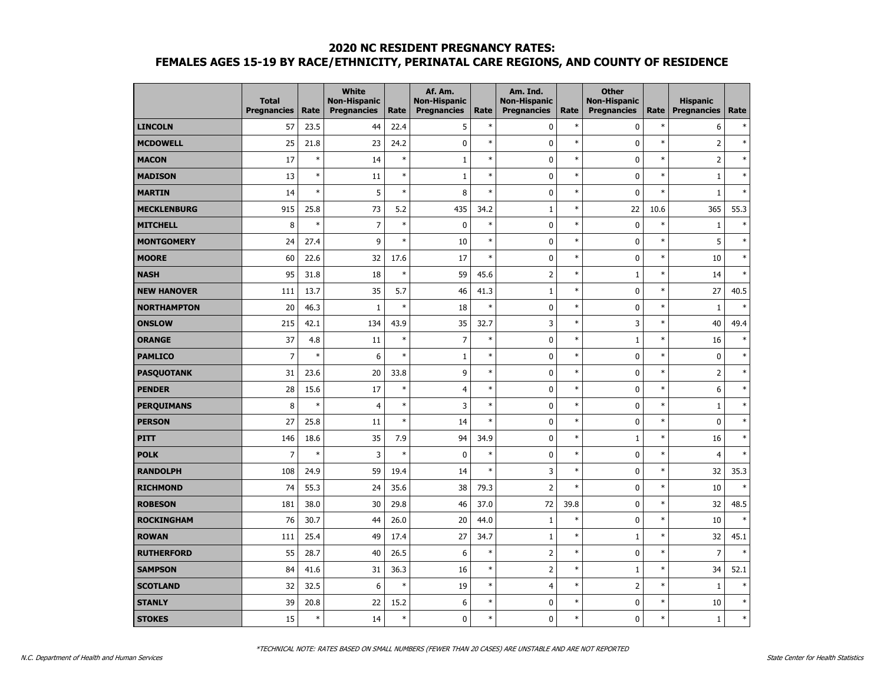|                    | <b>Total</b><br><b>Pregnancies</b> | Rate   | <b>White</b><br><b>Non-Hispanic</b><br><b>Pregnancies</b> | Rate   | Af. Am.<br><b>Non-Hispanic</b><br><b>Pregnancies</b> | Rate   | Am. Ind.<br><b>Non-Hispanic</b><br><b>Pregnancies</b> | Rate   | <b>Other</b><br><b>Non-Hispanic</b><br><b>Pregnancies</b> | Rate   | <b>Hispanic</b><br><b>Pregnancies</b> | Rate   |
|--------------------|------------------------------------|--------|-----------------------------------------------------------|--------|------------------------------------------------------|--------|-------------------------------------------------------|--------|-----------------------------------------------------------|--------|---------------------------------------|--------|
| <b>LINCOLN</b>     | 57                                 | 23.5   | 44                                                        | 22.4   | 5                                                    | $\ast$ | 0                                                     | $\ast$ | $\mathbf 0$                                               | $\ast$ | 6                                     | $\ast$ |
| <b>MCDOWELL</b>    | 25                                 | 21.8   | 23                                                        | 24.2   | $\pmb{0}$                                            | $\ast$ | 0                                                     | $\ast$ | 0                                                         | $\ast$ | $\overline{2}$                        | $\ast$ |
| <b>MACON</b>       | 17                                 | $\ast$ | 14                                                        | $\ast$ | $\mathbf{1}$                                         | $\ast$ | 0                                                     | $\ast$ | 0                                                         | $\ast$ | $\overline{2}$                        | $\ast$ |
| <b>MADISON</b>     | 13                                 | $\ast$ | 11                                                        | $\ast$ | $\mathbf{1}$                                         | $\ast$ | 0                                                     | $\ast$ | 0                                                         | $\ast$ | $1\,$                                 | $\ast$ |
| <b>MARTIN</b>      | 14                                 | $\ast$ | 5                                                         | $\ast$ | 8                                                    | $\ast$ | 0                                                     | $\ast$ | $\mathbf 0$                                               | $\ast$ | $\mathbf{1}$                          | $\ast$ |
| <b>MECKLENBURG</b> | 915                                | 25.8   | 73                                                        | 5.2    | 435                                                  | 34.2   | $1\,$                                                 | $\ast$ | 22                                                        | 10.6   | 365                                   | 55.3   |
| <b>MITCHELL</b>    | 8                                  | $\ast$ | $\overline{7}$                                            | $\ast$ | $\mathbf 0$                                          | $\ast$ | 0                                                     | $\ast$ | $\mathbf 0$                                               | $\ast$ | $\mathbf{1}$                          | $\ast$ |
| <b>MONTGOMERY</b>  | 24                                 | 27.4   | 9                                                         | $\ast$ | 10                                                   | $\ast$ | 0                                                     | $\ast$ | 0                                                         | $\ast$ | 5                                     | $\ast$ |
| <b>MOORE</b>       | 60                                 | 22.6   | 32                                                        | 17.6   | 17                                                   | $\ast$ | 0                                                     | $\ast$ | 0                                                         | $\ast$ | 10                                    | $\ast$ |
| <b>NASH</b>        | 95                                 | 31.8   | 18                                                        | $\ast$ | 59                                                   | 45.6   | $\overline{2}$                                        | $\ast$ | $\mathbf{1}$                                              | $\ast$ | 14                                    | $\ast$ |
| <b>NEW HANOVER</b> | 111                                | 13.7   | 35                                                        | 5.7    | 46                                                   | 41.3   | $\mathbf{1}$                                          | $\ast$ | 0                                                         | $\ast$ | 27                                    | 40.5   |
| <b>NORTHAMPTON</b> | 20                                 | 46.3   | $\mathbf 1$                                               | $\ast$ | 18                                                   | $\ast$ | 0                                                     | $\ast$ | 0                                                         | $\ast$ | $1\,$                                 | $\ast$ |
| <b>ONSLOW</b>      | 215                                | 42.1   | 134                                                       | 43.9   | 35                                                   | 32.7   | 3                                                     | $\ast$ | 3                                                         | $\ast$ | 40                                    | 49.4   |
| <b>ORANGE</b>      | 37                                 | 4.8    | 11                                                        | $\ast$ | $\overline{7}$                                       | $\ast$ | 0                                                     | $\ast$ | $\mathbf{1}$                                              | $\ast$ | 16                                    | $\ast$ |
| <b>PAMLICO</b>     | $\overline{7}$                     | $\ast$ | 6                                                         | $\ast$ | $\mathbf{1}$                                         | $\ast$ | $\pmb{0}$                                             | $\ast$ | 0                                                         | $\ast$ | $\mathbf 0$                           | $\ast$ |
| <b>PASQUOTANK</b>  | 31                                 | 23.6   | 20                                                        | 33.8   | 9                                                    | $\ast$ | $\pmb{0}$                                             | $\ast$ | 0                                                         | $\ast$ | $\overline{2}$                        | $\ast$ |
| <b>PENDER</b>      | 28                                 | 15.6   | 17                                                        | $\ast$ | $\overline{4}$                                       | $\ast$ | $\pmb{0}$                                             | $\ast$ | 0                                                         | $\ast$ | 6                                     | $\ast$ |
| <b>PERQUIMANS</b>  | 8                                  | $\ast$ | $\overline{4}$                                            | $\ast$ | 3                                                    | $\ast$ | 0                                                     | $\ast$ | 0                                                         | $\ast$ | $1\,$                                 | $\ast$ |
| <b>PERSON</b>      | 27                                 | 25.8   | 11                                                        | $\ast$ | 14                                                   | $\ast$ | 0                                                     | $\ast$ | 0                                                         | $\ast$ | $\mathbf 0$                           | $\ast$ |
| PITT               | 146                                | 18.6   | 35                                                        | 7.9    | 94                                                   | 34.9   | 0                                                     | $\ast$ | $\mathbf{1}$                                              | $\ast$ | 16                                    | $\ast$ |
| <b>POLK</b>        | $\overline{7}$                     | $\ast$ | 3                                                         | $\ast$ | $\pmb{0}$                                            | $\ast$ | 0                                                     | $\ast$ | 0                                                         | $\ast$ | $\overline{4}$                        | $\ast$ |
| <b>RANDOLPH</b>    | 108                                | 24.9   | 59                                                        | 19.4   | 14                                                   | $\ast$ | 3                                                     | $\ast$ | 0                                                         | $\ast$ | 32                                    | 35.3   |
| <b>RICHMOND</b>    | 74                                 | 55.3   | 24                                                        | 35.6   | 38                                                   | 79.3   | $\overline{2}$                                        | $\ast$ | 0                                                         | $\ast$ | 10                                    | $\ast$ |
| <b>ROBESON</b>     | 181                                | 38.0   | 30                                                        | 29.8   | 46                                                   | 37.0   | 72                                                    | 39.8   | 0                                                         | $\ast$ | 32                                    | 48.5   |
| <b>ROCKINGHAM</b>  | 76                                 | 30.7   | 44                                                        | 26.0   | 20                                                   | 44.0   | $\mathbf{1}$                                          | $\ast$ | 0                                                         | $\ast$ | 10                                    | $\ast$ |
| <b>ROWAN</b>       | 111                                | 25.4   | 49                                                        | 17.4   | 27                                                   | 34.7   | $1\,$                                                 | $\ast$ | $\mathbf{1}$                                              | $\ast$ | 32                                    | 45.1   |
| <b>RUTHERFORD</b>  | 55                                 | 28.7   | 40                                                        | 26.5   | 6                                                    | $\ast$ | $\overline{2}$                                        | $\ast$ | 0                                                         | $\ast$ | $\overline{7}$                        | $\ast$ |
| <b>SAMPSON</b>     | 84                                 | 41.6   | 31                                                        | 36.3   | 16                                                   | $\ast$ | $\overline{2}$                                        | $\ast$ | $\mathbf{1}$                                              | $\ast$ | 34                                    | 52.1   |
| <b>SCOTLAND</b>    | 32                                 | 32.5   | 6                                                         | $\ast$ | 19                                                   | $\ast$ | $\overline{4}$                                        | $\ast$ | 2                                                         | $\ast$ | $\mathbf 1$                           | $\ast$ |
| <b>STANLY</b>      | 39                                 | 20.8   | 22                                                        | 15.2   | 6                                                    | $\ast$ | 0                                                     | $\ast$ | 0                                                         | $\ast$ | 10                                    | $\ast$ |
| <b>STOKES</b>      | 15                                 | $\ast$ | 14                                                        | $\ast$ | $\mathbf{0}$                                         | $\ast$ | $\mathbf{0}$                                          | $\ast$ | 0                                                         | $\ast$ | $\mathbf{1}$                          | $\ast$ |